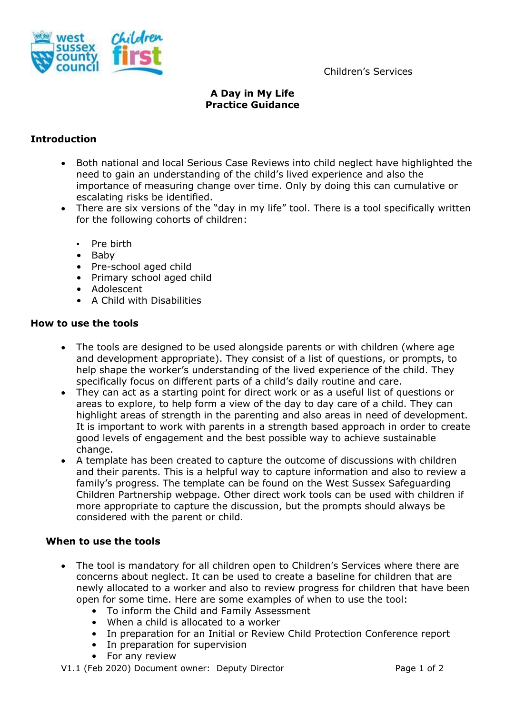

Children's Services

# **A Day in My Life Practice Guidance**

## **Introduction**

- Both national and local Serious Case Reviews into child neglect have highlighted the need to gain an understanding of the child's lived experience and also the importance of measuring change over time. Only by doing this can cumulative or escalating risks be identified.
- There are six versions of the "day in my life" tool. There is a tool specifically written for the following cohorts of children:
	- Pre birth
	- Baby
	- Pre-school aged child
	- Primary school aged child
	- Adolescent
	- A Child with Disabilities

### **How to use the tools**

- The tools are designed to be used alongside parents or with children (where age and development appropriate). They consist of a list of questions, or prompts, to help shape the worker's understanding of the lived experience of the child. They specifically focus on different parts of a child's daily routine and care.
- They can act as a starting point for direct work or as a useful list of questions or areas to explore, to help form a view of the day to day care of a child. They can highlight areas of strength in the parenting and also areas in need of development. It is important to work with parents in a strength based approach in order to create good levels of engagement and the best possible way to achieve sustainable change.
- A template has been created to capture the outcome of discussions with children and their parents. This is a helpful way to capture information and also to review a family's progress. The template can be found on the West Sussex Safeguarding Children Partnership webpage. Other direct work tools can be used with children if more appropriate to capture the discussion, but the prompts should always be considered with the parent or child.

### **When to use the tools**

- The tool is mandatory for all children open to Children's Services where there are concerns about neglect. It can be used to create a baseline for children that are newly allocated to a worker and also to review progress for children that have been open for some time. Here are some examples of when to use the tool:
	- To inform the Child and Family Assessment
	- When a child is allocated to a worker
	- In preparation for an Initial or Review Child Protection Conference report
	- In preparation for supervision
	- For any review

#### V1.1 (Feb 2020) Document owner: Deputy Director example 2 Page 1 of 2